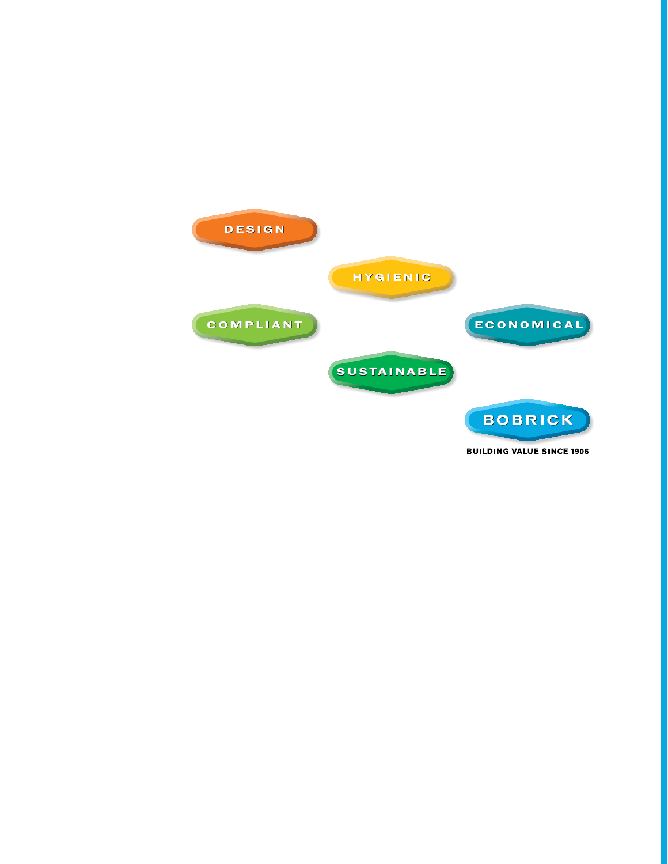

**BUILDING VALUE SINCE 1906**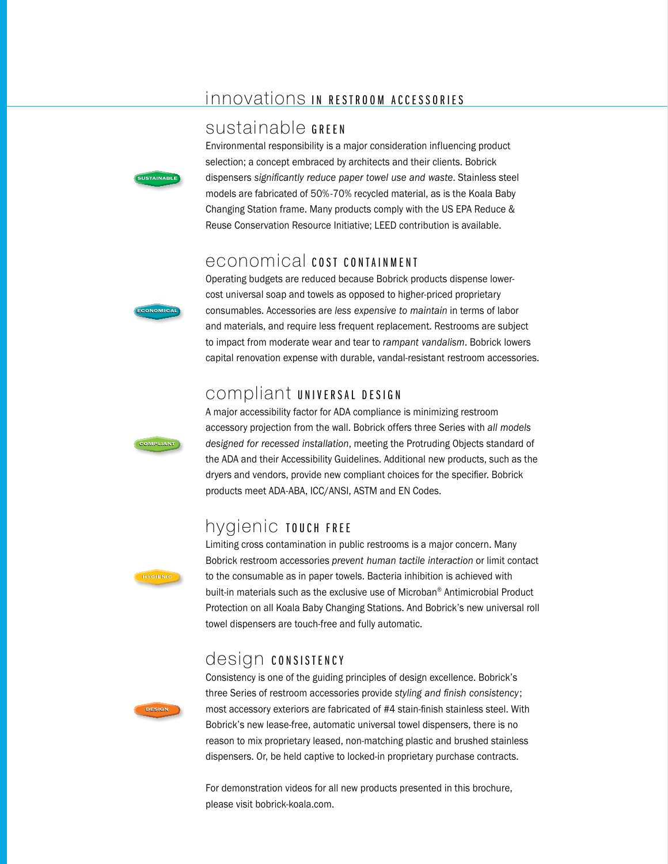## innovations IN RESTROOM ACCESSORIES

### sustainable GREEN



ONOMIC.

Environmental responsibility is a major consideration influencing product selection; a concept embraced by architects and their clients. Bobrick dispensers significantly reduce paper towel use and waste. Stainless steel models are fabricated of 50%-70% recycled material, as is the Koala Baby Changing Station frame. Many products comply with the US EPA Reduce & Reuse Conservation Resource Initiative; LEED contribution is available.

### economical cost containment

Operating budgets are reduced because Bobrick products dispense lowercost universal soap and towels as opposed to higher-priced proprietary consumables. Accessories are less expensive to maintain in terms of labor and materials, and require less frequent replacement. Restrooms are subject to impact from moderate wear and tear to rampant vandalism. Bobrick lowers capital renovation expense with durable, vandal-resistant restroom accessories.

### compliant UNIVERSAL DESIGN



A major accessibility factor for ADA compliance is minimizing restroom accessory projection from the wall. Bobrick offers three Series with all models designed for recessed installation, meeting the Protruding Objects standard of the ADA and their Accessibility Guidelines. Additional new products, such as the dryers and vendors, provide new compliant choices for the specifier. Bobrick products meet ADA-ABA, ICC/ANSI, ASTM and EN Codes.

## hygienic TOUCH FREE



Limiting cross contamination in public restrooms is a major concern. Many Bobrick restroom accessories prevent human tactile interaction or limit contact to the consumable as in paper towels. Bacteria inhibition is achieved with built-in materials such as the exclusive use of Microban® Antimicrobial Product Protection on all Koala Baby Changing Stations. And Bobrick's new universal roll towel dispensers are touch-free and fully automatic.

# design consistency



Consistency is one of the guiding principles of design excellence. Bobrick's three Series of restroom accessories provide styling and finish consistency; most accessory exteriors are fabricated of #4 stain-finish stainless steel. With Bobrick's new lease-free, automatic universal towel dispensers, there is no reason to mix proprietary leased, non-matching plastic and brushed stainless dispensers. Or, be held captive to locked-in proprietary purchase contracts.

For demonstration videos for all new products presented in this brochure, please visit bobrick-koala.com.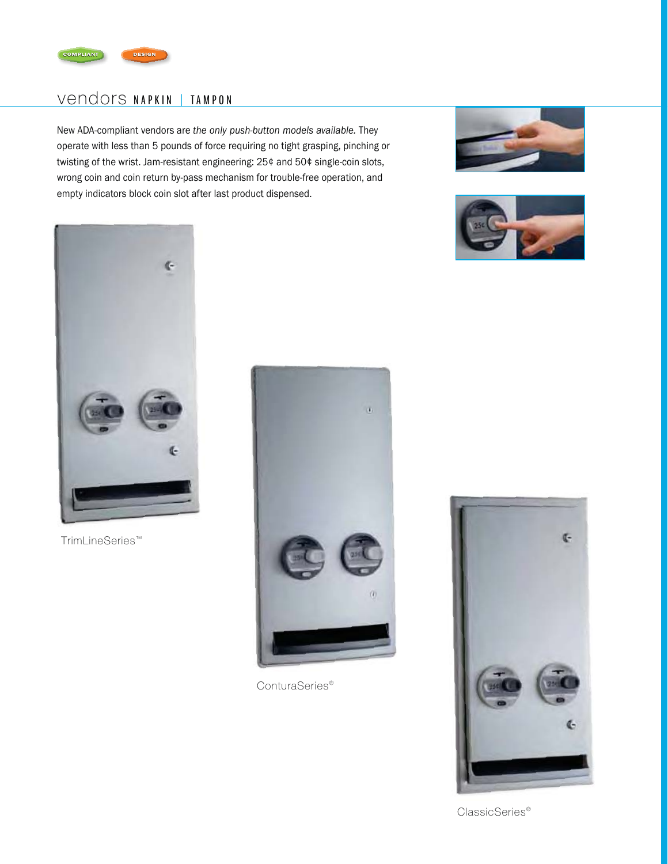

## Vendors NAPKIN | TAMPON

New ADA-compliant vendors are the only push-button models available. They operate with less than 5 pounds of force requiring no tight grasping, pinching or twisting of the wrist. Jam-resistant engineering: 25¢ and 50¢ single-coin slots, wrong coin and coin return by-pass mechanism for trouble-free operation, and empty indicators block coin slot after last product dispensed.







TrimLineSeries™



ConturaSeries<sup>®</sup>



ClassicSeries<sup>®</sup>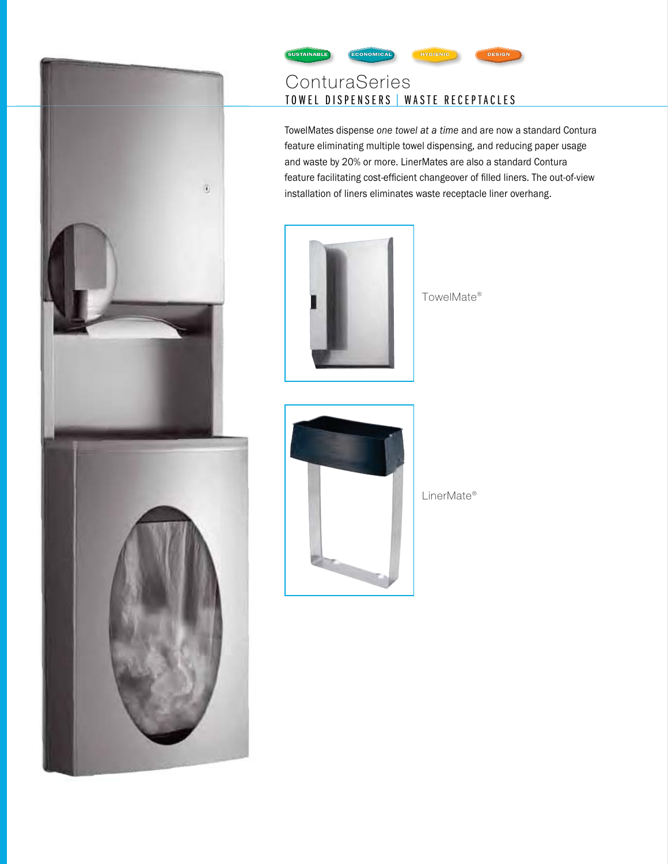

#### **SUSTAINA** HYGIENIC **NOMICA**

# ConturaSeries TOWEL DISPENSERS | WASTE RECEPTACLES

TowelMates dispense one towel at a time and are now a standard Contura feature eliminating multiple towel dispensing, and reducing paper usage and waste by 20% or more. LinerMates are also a standard Contura feature facilitating cost-efficient changeover of filled liners. The out-of-view installation of liners eliminates waste receptacle liner overhang.



TowelMate®



LinerMate®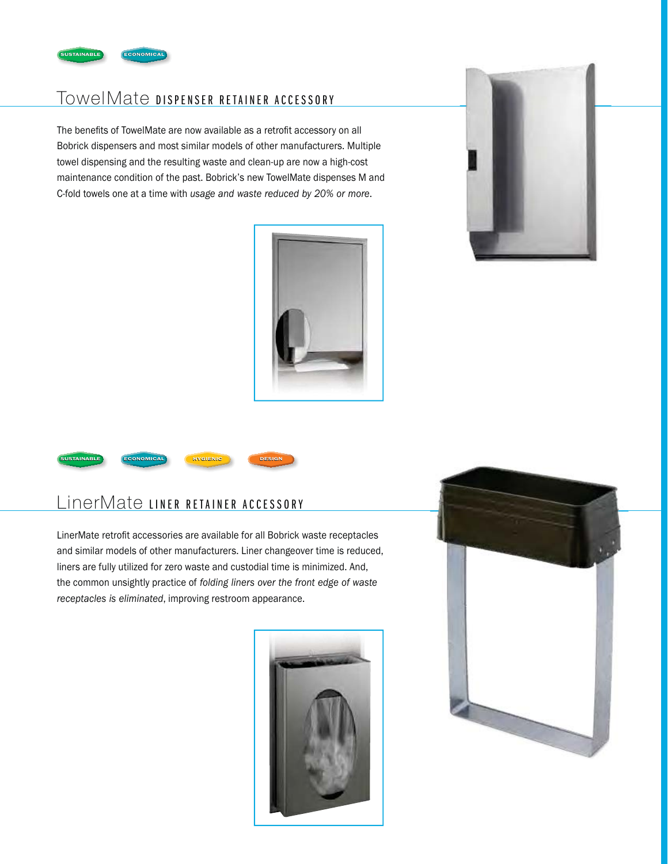

# TowelMate DISPENSER RETAINER ACCESSORY

The benefits of TowelMate are now available as a retrofit accessory on all Bobrick dispensers and most similar models of other manufacturers. Multiple towel dispensing and the resulting waste and clean-up are now a high-cost maintenance condition of the past. Bobrick's new TowelMate dispenses M and C-fold towels one at a time with usage and waste reduced by 20% or more.







# LinerMate LINER RETAINER ACCESSORY

LinerMate retrofit accessories are available for all Bobrick waste receptacles and similar models of other manufacturers. Liner changeover time is reduced, liners are fully utilized for zero waste and custodial time is minimized. And, the common unsightly practice of *folding liners over the front edge of waste* receptacles is eliminated, improving restroom appearance.



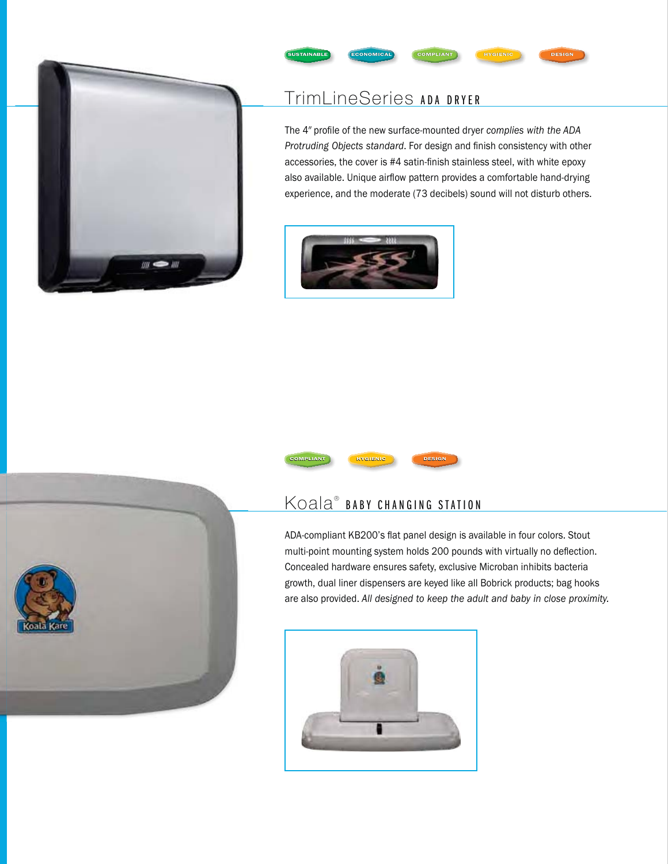

# TrimLineSeries ADA DRYER

**NOMICA** 

The 4" profile of the new surface-mounted dryer complies with the ADA Protruding Objects standard. For design and finish consistency with other accessories, the cover is #4 satin-finish stainless steel, with white epoxy also available. Unique airflow pattern provides a comfortable hand-drying experience, and the moderate (73 decibels) sound will not disturb others.

**HYGIENIC** 







ADA-compliant KB200's flat panel design is available in four colors. Stout multi-point mounting system holds 200 pounds with virtually no deflection. Concealed hardware ensures safety, exclusive Microban inhibits bacteria growth, dual liner dispensers are keyed like all Bobrick products; bag hooks are also provided. All designed to keep the adult and baby in close proximity.



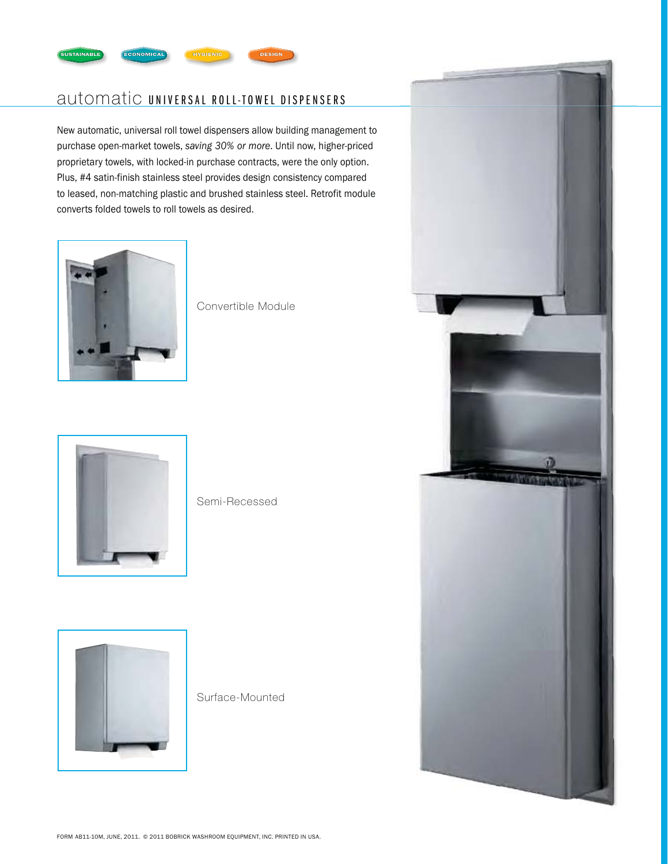

# automatic UNIVERSAL ROLL-TOWEL DISPENSERS

New automatic, universal roll towel dispensers allow building management to purchase open-market towels, saving 30% or more. Until now, higher-priced proprietary towels, with locked-in purchase contracts, were the only option. Plus, #4 satin-finish stainless steel provides design consistency compared to leased, non-matching plastic and brushed stainless steel. Retrofit module converts folded towels to roll towels as desired.



Convertible Module



Semi-Recessed



Surface-Mounted